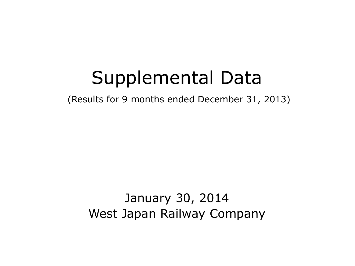# Supplemental Data

(Results for 9 months ended December 31, 2013)

January 30, 2014 West Japan Railway Company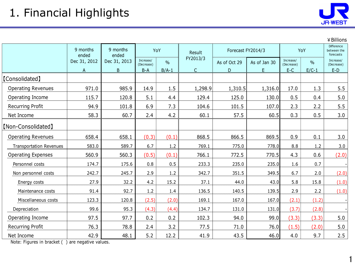

1

|                                |                   |                   |                         |               |              |              |                   |                         |               | ¥ Billions                             |
|--------------------------------|-------------------|-------------------|-------------------------|---------------|--------------|--------------|-------------------|-------------------------|---------------|----------------------------------------|
|                                | 9 months<br>ended | 9 months<br>ended | YoY                     |               | Result       |              | Forecast FY2014/3 |                         | YoY           | Difference<br>between the<br>forecasts |
|                                | Dec 31, 2012      | Dec 31, 2013      | Increase/<br>(Decrease) | $\frac{0}{0}$ | FY2013/3     | As of Oct 29 | As of Jan 30      | Increase/<br>(Decrease) | $\frac{0}{0}$ | Increase/<br>(Decrease)                |
|                                | $\mathsf{A}$      | B                 | $B-A$                   | $B/A-1$       | $\mathsf{C}$ | D            | E.                | $E-C$                   | $E/C-1$       | $E-D$                                  |
| [Consolidated]                 |                   |                   |                         |               |              |              |                   |                         |               |                                        |
| <b>Operating Revenues</b>      | 971.0             | 985.9             | 14.9                    | 1.5           | 1,298.9      | 1,310.5      | 1,316.0           | 17.0                    | 1.3           | 5.5                                    |
| Operating Income               | 115.7             | 120.8             | 5.1                     | 4.4           | 129.4        | 125.0        | 130.0             | 0.5                     | 0.4           | 5.0                                    |
| <b>Recurring Profit</b>        | 94.9              | 101.8             | 6.9                     | 7.3           | 104.6        | 101.5        | 107.0             | 2.3                     | 2.2           | 5.5                                    |
| Net Income                     | 58.3              | 60.7              | 2.4                     | 4.2           | 60.1         | 57.5         | 60.5              | 0.3                     | 0.5           | 3.0                                    |
| [Non-Consolidated]             |                   |                   |                         |               |              |              |                   |                         |               |                                        |
| <b>Operating Revenues</b>      | 658.4             | 658.1             | (0.3)                   | (0.1)         | 868.5        | 866.5        | 869.5             | 0.9                     | 0.1           | 3.0                                    |
| <b>Transportation Revenues</b> | 583.0             | 589.7             | 6.7                     | 1.2           | 769.1        | 775.0        | 778.0             | 8.8                     | 1.2           | 3.0                                    |
| <b>Operating Expenses</b>      | 560.9             | 560.3             | (0.5)                   | (0.1)         | 766.1        | 772.5        | 770.5             | 4.3                     | 0.6           | (2.0)                                  |
| Personnel costs                | 174.7             | 175.6             | 0.8                     | 0.5           | 233.3        | 235.0        | 235.0             | 1.6                     | 0.7           |                                        |
| Non personnel costs            | 242.7             | 245.7             | 2.9                     | 1.2           | 342.7        | 351.5        | 349.5             | 6.7                     | 2.0           | (2.0)                                  |
| Energy costs                   | 27.9              | 32.2              | 4.2                     | 15.2          | 37.1         | 44.0         | 43.0              | 5.8                     | 15.8          | (1.0)                                  |
| Maintenance costs              | 91.4              | 92.7              | 1.2                     | 1.4           | 136.5        | 140.5        | 139.5             | 2.9                     | 2.2           | (1.0)                                  |
| Miscellaneous costs            | 123.3             | 120.8             | (2.5)                   | (2.0)         | 169.1        | 167.0        | 167.0             | (2.1)                   | (1.2)         |                                        |
| Depreciation                   | 99.6              | 95.3              | (4.3)                   | (4.4)         | 134.7        | 131.0        | 131.0             | (3.7)                   | (2.8)         |                                        |
| Operating Income               | 97.5              | 97.7              | 0.2                     | 0.2           | 102.3        | 94.0         | 99.0              | (3.3)                   | (3.3)         | 5.0                                    |
| Recurring Profit               | 76.3              | 78.8              | 2.4                     | 3.2           | 77.5         | 71.0         | 76.0              | (1.5)                   | (2.0)         | 5.0                                    |
| Net Income                     | 42.9              | 48.1              | 5.2                     | 12.2          | 41.9         | 43.5         | 46.0              | 4.0                     | 9.7           | 2.5                                    |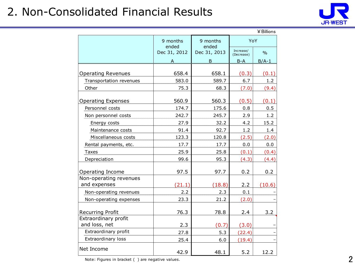# 2. Non-Consolidated Financial Results



|                                       |                   |                   |                         | ¥ Billions    |
|---------------------------------------|-------------------|-------------------|-------------------------|---------------|
|                                       | 9 months<br>ended | 9 months<br>ended | YoY                     |               |
|                                       | Dec 31, 2012      | Dec 31, 2013      | Increase/<br>(Decrease) | $\frac{0}{0}$ |
|                                       |                   | B                 | B-A                     | $B/A-1$       |
| <b>Operating Revenues</b>             | 658.4             | 658.1             | (0.3)                   | (0.1)         |
| Transportation revenues               | 583.0             | 589.7             | 6.7                     | 1.2           |
| Other                                 | 75.3              | 68.3              | (7.0)                   | (9.4)         |
|                                       |                   |                   |                         |               |
| <b>Operating Expenses</b>             | 560.9             | 560.3             | (0.5)                   | (0.1)         |
| Personnel costs                       | 174.7             | 175.6             | 0.8                     | 0.5           |
| Non personnel costs                   | 242.7             | 245.7             | 2.9                     | 1.2           |
| Energy costs                          | 27.9              | 32.2              | 4.2                     | 15.2          |
| Maintenance costs                     | 91.4              | 92.7              | 1.2                     | 1.4           |
| Miscellaneous costs                   | 123.3             | 120.8             | (2.5)                   | (2.0)         |
| Rental payments, etc.                 | 17.7              | 17.7              | 0.0                     | 0.0           |
| Taxes                                 | 25.9              | 25.8              | (0.1)                   | (0.4)         |
| Depreciation                          | 99.6              | 95.3              | (4.3)                   | (4.4)         |
| Operating Income                      | 97.5              | 97.7              | 0.2                     | 0.2           |
| Non-operating revenues                |                   |                   |                         |               |
| and expenses                          | (21.1)            | (18.8)            | 2.2                     | (10.6)        |
| Non-operating revenues                | 2.2               | 2.3               | 0.1                     |               |
| Non-operating expenses                | 23.3              | 21.2              | (2.0)                   |               |
| <b>Recurring Profit</b>               | 76.3              | 78.8              | 2.4                     | 3.2           |
| Extraordinary profit<br>and loss, net | 2.3               | (0.7)             | (3.0)                   |               |
| Extraordinary profit                  | 27.8              | 5.3               | (22.4)                  |               |
| Extraordinary loss                    | 25.4              | 6.0               | (19.4)                  |               |
| Net Income                            | 42.9              | 48.1              | 5.2                     | 12.2          |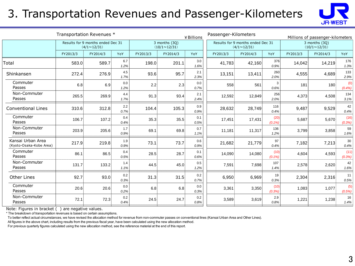# 3. Transportation Revenues and Passenger-Kilometers



| Transportation Revenues *<br>¥ Billions      |                                                                                                 |          |             |          |                                                         | Passenger-Kilometers |                                      |          | Millions of passenger-kilometers |          |          |                |
|----------------------------------------------|-------------------------------------------------------------------------------------------------|----------|-------------|----------|---------------------------------------------------------|----------------------|--------------------------------------|----------|----------------------------------|----------|----------|----------------|
|                                              | Results for 9 months ended Dec 31<br>3 months (3Q)<br>$(4/1 \sim 12/31)$<br>$(10/1 \sim 12/31)$ |          |             |          | Results for 9 months ended Dec 31<br>$(4/1 \sim 12/31)$ |                      | 3 months (3Q)<br>$(10/1 \sim 12/31)$ |          |                                  |          |          |                |
|                                              | FY2013/3                                                                                        | FY2014/3 | YoY         | FY2013/3 | FY2014/3                                                | YoY                  | FY2013/3                             | FY2014/3 | YoY                              | FY2013/3 | FY2014/3 | YoY            |
| Total                                        | 583.0                                                                                           | 589.7    | 6.7<br>1.2% | 198.0    | 201.1                                                   | 3.0<br>1.6%          | 41,783                               | 42,160   | 376<br>0.9%                      | 14,042   | 14,219   | 176<br>1.3%    |
| Shinkansen                                   | 272.4                                                                                           | 276.9    | 4.5<br>1.7% | 93.6     | 95.7                                                    | 2.1<br>2.3%          | 13,151                               | 13,411   | 260<br>2.0%                      | 4,555    | 4,689    | 133<br>2.9%    |
| Commuter<br>Passes                           | 6.8                                                                                             | 6.9      | 0.0<br>1.2% | 2.2      | 2.3                                                     | 0.0<br>0.7%          | 558                                  | 561      | 3<br>0.6%                        | 181      | 180      | (0)<br>(0.4%)  |
| Non-Commuter<br>Passes                       | 265.5                                                                                           | 269.9    | 4.4<br>1.7% | 91.3     | 93.4                                                    | 2.1<br>2.4%          | 12,592                               | 12,849   | 256<br>2.0%                      | 4,373    | 4,508    | 134<br>3.1%    |
| <b>Conventional Lines</b>                    | 310.6                                                                                           | 312.8    | 2.2<br>0.7% | 104.4    | 105.3                                                   | 0.9<br>0.9%          | 28,632                               | 28,749   | 116<br>0.4%                      | 9.487    | 9,529    | 42<br>0.4%     |
| Commuter<br>Passes                           | 106.7                                                                                           | 107.2    | 0.4<br>0.4% | 35.3     | 35.5                                                    | 0.1<br>0.5%          | 17,451                               | 17,431   | (20)<br>(0.1%                    | 5,687    | 5,670    | (16)<br>(0.3%) |
| Non-Commuter<br>Passes                       | 203.9                                                                                           | 205.6    | 1.7<br>0.9% | 69.1     | 69.8                                                    | 0.7<br>1.1%          | 11,181                               | 11,317   | 136<br>1.2%                      | 3,799    | 3,858    | 59<br>1.6%     |
| Kansai Urban Area<br>(Kyoto-Osaka-Kobe Area) | 217.9                                                                                           | 219.8    | 1.9<br>0.9% | 73.1     | 73.7                                                    | 0.6<br>0.9%          | 21,682                               | 21,779   | 97<br>0.4%                       | 7,182    | 7,213    | 30<br>0.4%     |
| Commuter<br>Passes                           | 86.1                                                                                            | 86.5     | 0.4<br>0.5% | 28.5     | 28.7                                                    | 0.1<br>0.6%          | 14,090                               | 14,080   | (10)<br>(0.1%                    | 4,604    | 4,593    | (11)<br>(0.3%) |
| Non-Commuter<br>Passes                       | 131.7                                                                                           | 133.2    | 1.4<br>1.1% | 44.5     | 45.0                                                    | 0.5<br>1.2%          | 7,591                                | 7,698    | 107<br>1.4%                      | 2,578    | 2,620    | 42<br>1.6%     |
| Other Lines                                  | 92.7                                                                                            | 93.0     | 0.2<br>0.3% | 31.3     | 31.5                                                    | 0.2<br>0.7%          | 6,950                                | 6,969    | 19<br>0.3%                       | 2,304    | 2,316    | 11<br>0.5%     |
| Commuter<br>Passes                           | 20.6                                                                                            | 20.6     | 0.0<br>0.2% | 6.8      | 6.8                                                     | 0.0<br>0.3%          | 3,361                                | 3,350    | (10)<br>(0.3%                    | 1,083    | 1,077    | (5)<br>(0.5%)  |
| Non-Commuter<br>Passes                       | 72.1                                                                                            | 72.3     | 0.2<br>0.4% | 24.5     | 24.7                                                    | 0.2<br>0.8%          | 3,589                                | 3,619    | 2.9<br>0.8%                      | 1,221    | 1,238    | 16<br>1.4%     |

Note: Figures in bracket ( ) are negative values.

\* The breakdown of transportation revenues is based on certain assumptions.

To better reflect actual circumstances, we have revised the allocation method for revenue from non-commuter passes on conventional lines (Kansai Urban Area and Other Lines).

All figures in the above chart, including results from the previous fiscal year, have been calculated using the new allocation method.

For previous quarterly figures calculated using the new allocation method, see the reference material at the end of this report.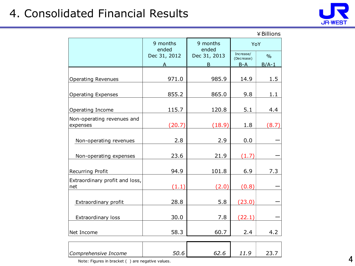# 4. Consolidated Financial Results



| $\angle$ Billions |  |
|-------------------|--|
|-------------------|--|

|                                        | 9 months<br>ended | 9 months<br>ended | YoY                              |                          |
|----------------------------------------|-------------------|-------------------|----------------------------------|--------------------------|
|                                        | Dec 31, 2012<br>А | Dec 31, 2013<br>B | Increase/<br>(Decrease)<br>$B-A$ | $\frac{0}{0}$<br>$B/A-1$ |
| <b>Operating Revenues</b>              | 971.0             | 985.9             | 14.9                             | 1.5                      |
| <b>Operating Expenses</b>              | 855.2             | 865.0             | 9.8                              | 1.1                      |
| Operating Income                       | 115.7             | 120.8             | 5.1                              | 4.4                      |
| Non-operating revenues and<br>expenses | (20.7)            | (18.9)            | 1.8                              | (8.7)                    |
| Non-operating revenues                 | 2.8               | 2.9               | 0.0                              |                          |
| Non-operating expenses                 | 23.6              | 21.9              | (1.7)                            |                          |
| Recurring Profit                       | 94.9              | 101.8             | 6.9                              | 7.3                      |
| Extraordinary profit and loss,<br>net  | (1.1)             | (2.0)             | (0.8)                            |                          |
| Extraordinary profit                   | 28.8              | 5.8               | (23.0)                           |                          |
| Extraordinary loss                     | 30.0              | 7.8               | (22.1)                           |                          |
| Net Income                             | 58.3              | 60.7              | 2.4                              | 4.2                      |
| Comprehensive Income                   | 50.6              | 62.6              | 11.9                             | 23.7                     |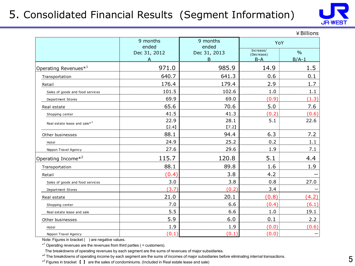### 5. Consolidated Financial Results (Segment Information)



 $¥$  Billions Increase/ ncrease/ 0/<sub>0</sub> A B-A B-A B/A-1 Operating Revenues<sup>\*1</sup> 1.5 and 1.5 and 1.5 approximation of the set of  $985.9$  and  $14.9$  1.5 Transportation  $\begin{array}{|c|c|c|c|c|c|}\hline \text{1} & \text{640.7} & \text{641.3} & \text{0.6} & \text{0.1} \ \hline \end{array}$ Retail 176.4 179.4 2.9 1.7 Sales of goods and food services  $101.5$   $102.6$   $1.0$   $1.1$ Department Stores 69.9 69.0 (0.9) (1.3) Real estate 65.6 | 70.6 | 5.0 | 7.6 Shopping center 41.5 41.3 (0.2) (0.6) 22.9 28.1 5.1 22.6  $[7.2]$ Other businesses 88.1  $\vert$  94.4  $\vert$  6.3 7.2 Hotel 24.9 25.2 0.2 1.1 Nippon Travel Agency  $\begin{array}{|c|c|c|c|c|}\n\hline\n27.6 & 29.6 & 1.9 & \multicolumn{1}{c|}{\bf \textcolor{red}{7.1}}\n\hline\n\end{array}$ Operating Income<sup>\*2</sup>  $\vert$  115.7  $\vert$  120.8 5.1 4.4 Transportation  $\begin{array}{|c|c|c|c|c|c|}\hline \text{1.9}\qquad \qquad & \text{88.1}\qquad \qquad & \text{89.8}\qquad \qquad & \text{1.6}\qquad \qquad & \text{1.9}\qquad \qquad & \text{1.8}\qquad \qquad & \text{1.9}\qquad \qquad & \text{1.1}\qquad \qquad & \text{1.1}\qquad \qquad & \text{1.1}\qquad \qquad & \text{1.1}\qquad \qquad & \text{1.1}\qquad \qquad & \text{1.1}\qquad \qquad & \text{1.1}\qquad \qquad &$ Retail  $(0.4)$   $(3.8$   $4.2$   $-$ Sales of goods and food services and the services and the services of  $3.0$  and  $3.8$  and  $5.8$  and  $5.8$  and  $5.8$  and  $5.8$  and  $5.8$  and  $5.8$  and  $5.8$  and  $5.8$  and  $5.8$  and  $5.8$  and  $5.8$  and  $5.8$  and  $5.8$  and  $5$ Department Stores  $\vert$  (3.7)  $\vert$  (0.2) 3.4  $\vert$   $\vert$   $\vert$ Real estate  $\begin{array}{|c|c|c|c|c|c|}\n\hline\n21.0 & 20.1 & 0.8 & \hline\n\end{array} \hspace{1.2cm} (4.2)$ Shopping center  $\vert$  , the control of  $7.0$  and  $6.6$  and  $\vert$   $6.4$   $\vert$   $(6.1)$ Real estate lease and sale  $\begin{array}{ccc} \hline \end{array}$   $\begin{array}{ccc} 5.5 & 6.6 & 1.0 & 19.1 \end{array}$ Other businesses 5.9 6.0 0.1 2.2 Hotel 1.9 1.9 (0.0) (0.6) Nippon Travel Agency  $|\hspace{1.6cm} (0.1) |\hspace{1.6cm} (0.1) |\hspace{1.6cm} (0.1) |\hspace{1.6cm} (0.0) |\hspace{1.6cm} -|\hspace{1.6cm}$ 9 months ended Dec 31, 2012 9 months ended Dec 31, 2013 YoY Real estate lease and sale $*^3$ 

Note: Figures in bracket ( ) are negative values.

\*<sup>1</sup> Operating revenues are the revenues from third parties ( = customers).

The breakdowns of operating revenues by each segment are the sums of revenues of major subsidiaries.

\*<sup>2</sup> The breakdowns of operating income by each segment are the sums of incomes of major subsidiaries before eliminating internal transactions.

 $*^3$  Figures in bracket  $\blacksquare$  are the sales of condominiums. (Included in Real estate lease and sale)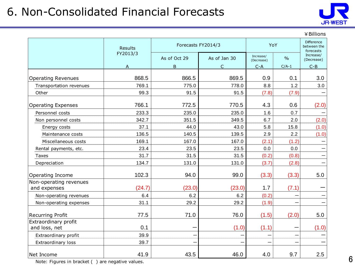# 6. Non-Consolidated Financial Forecasts



|                                        |          |                    |              |                         |                                               | ¥ Billions              |
|----------------------------------------|----------|--------------------|--------------|-------------------------|-----------------------------------------------|-------------------------|
|                                        | Results  | Forecasts FY2014/3 |              | YoY                     | <b>Difference</b><br>between the<br>forecasts |                         |
|                                        | FY2013/3 | As of Oct 29       | As of Jan 30 | Increase/<br>(Decrease) | $\frac{0}{0}$                                 | Increase/<br>(Decrease) |
|                                        | A        | $\overline{B}$     | $\subset$    | $C-A$                   | $C/A-1$                                       | $C - B$                 |
| <b>Operating Revenues</b>              | 868.5    | 866.5              | 869.5        | 0.9                     | 0.1                                           | 3.0                     |
| Transportation revenues                | 769.1    | 775.0              | 778.0        | 8.8                     | 1.2                                           | 3.0                     |
| Other                                  | 99.3     | 91.5               | 91.5         | (7.8)                   | (7.9)                                         |                         |
| <b>Operating Expenses</b>              | 766.1    | 772.5              | 770.5        | 4.3                     | 0.6                                           | (2.0)                   |
| Personnel costs                        | 233.3    | 235.0              | 235.0        | 1.6                     | 0.7                                           |                         |
| Non personnel costs                    | 342.7    | 351.5              | 349.5        | 6.7                     | 2.0                                           | (2.0)                   |
| Energy costs                           | 37.1     | 44.0               | 43.0         | 5.8                     | 15.8                                          | (1.0)                   |
| Maintenance costs                      | 136.5    | 140.5              | 139.5        | 2.9                     | 2.2                                           | (1.0)                   |
| Miscellaneous costs                    | 169.1    | 167.0              | 167.0        | (2.1)                   | (1.2)                                         |                         |
| Rental payments, etc.                  | 23.4     | 23.5               | 23.5         | 0.0                     | 0.0                                           |                         |
| Taxes                                  | 31.7     | 31.5               | 31.5         | (0.2)                   | (0.8)                                         |                         |
| Depreciation                           | 134.7    | 131.0              | 131.0        | (3.7)                   | (2.8)                                         |                         |
| Operating Income                       | 102.3    | 94.0               | 99.0         | (3.3)                   | (3.3)                                         | 5.0                     |
| Non-operating revenues<br>and expenses | (24.7)   | (23.0)             | (23.0)       | 1.7                     | (7.1)                                         |                         |
| Non-operating revenues                 | 6.4      | 6.2                | 6.2          | (0.2)                   |                                               |                         |
| Non-operating expenses                 | 31.1     | 29.2               | 29.2         | (1.9)                   |                                               |                         |
| <b>Recurring Profit</b>                | 77.5     | 71.0               | 76.0         | (1.5)                   | (2.0)                                         | 5.0                     |
| Extraordinary profit<br>and loss, net  | 0.1      |                    | (1.0)        | (1.1)                   |                                               | (1.0)                   |
| Extraordinary profit                   | 39.9     |                    |              |                         |                                               |                         |
| Extraordinary loss                     | 39.7     |                    |              |                         |                                               |                         |
| Net Income                             | 41.9     | 43.5               | 46.0         | 4.0                     | 9.7                                           | 2.5                     |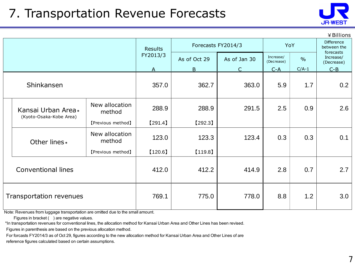# 7. Transportation Revenue Forecasts



|                                               |                                |                          |                    |              |              |                                               |               | ¥ Billions              |
|-----------------------------------------------|--------------------------------|--------------------------|--------------------|--------------|--------------|-----------------------------------------------|---------------|-------------------------|
|                                               |                                | <b>Results</b>           | Forecasts FY2014/3 |              | YoY          | <b>Difference</b><br>between the<br>forecasts |               |                         |
|                                               |                                |                          | FY2013/3           | As of Oct 29 | As of Jan 30 | Increase/<br>(Decrease)                       | $\frac{0}{0}$ | Increase/<br>(Decrease) |
|                                               |                                |                          | $\mathsf{A}$       | $\mathsf B$  | $\subset$    | $C - A$                                       | $C/A-1$       | $C - B$                 |
|                                               | Shinkansen                     |                          | 357.0              | 362.7        | 363.0        | 5.9                                           | 1.7           | 0.2                     |
| Kansai Urban Area*<br>(Kyoto-Osaka-Kobe Area) | New allocation<br>method       | 288.9                    | 288.9              | 291.5        | 2.5          | 0.9                                           | 2.6           |                         |
|                                               |                                | [Previous method]        | $[291.4]$          | $[292.3]$    |              |                                               |               |                         |
|                                               | Other lines *                  | New allocation<br>method | 123.0              | 123.3        | 123.4        | 0.3                                           | 0.3           | 0.1                     |
|                                               |                                | [Previous method]        | $[120.6]$          | [119.8]      |              |                                               |               |                         |
|                                               | <b>Conventional lines</b>      |                          | 412.0              | 412.2        | 414.9        | 2.8                                           | 0.7           | 2.7                     |
|                                               | <b>Transportation revenues</b> |                          | 769.1              | 775.0        | 778.0        | 8.8                                           | 1.2           | 3.0                     |

Note: Revenues from luggage transportation are omitted due to the small amount.

Figures in bracket ( ) are negative values.

\*In transportation revenues for conventional lines, the allocation method for Kansai Urban Area and Other Lines has been revised.

Figures in parenthesis are based on the previous allocation method.

For forcasts FY2014/3 as of Oct 29, figures according to the new allocation method for Kansai Urban Area and Other Lines of are

reference figures calculated based on certain assumptions.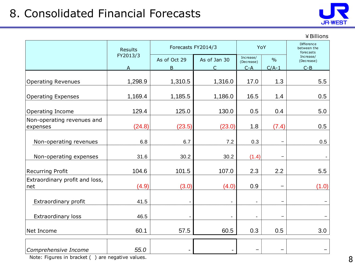

| ¥ Billions |  |
|------------|--|
|------------|--|

|                                        | <b>Results</b>           | Forecasts FY2014/3 | YoY                       |                                  | Difference<br>between the<br>forecasts |                                  |
|----------------------------------------|--------------------------|--------------------|---------------------------|----------------------------------|----------------------------------------|----------------------------------|
|                                        | FY2013/3<br>$\mathsf{A}$ | As of Oct 29<br>B. | As of Jan 30<br>$\subset$ | Increase/<br>(Decrease)<br>$C-A$ | $\frac{0}{0}$<br>$C/A-1$               | Increase/<br>(Decrease)<br>$C-B$ |
| <b>Operating Revenues</b>              | 1,298.9                  | 1,310.5            | 1,316.0                   | 17.0                             | 1.3                                    | 5.5                              |
| <b>Operating Expenses</b>              | 1,169.4                  | 1,185.5            | 1,186.0                   | 16.5                             | 1.4                                    | 0.5                              |
| Operating Income                       | 129.4                    | 125.0              | 130.0                     | 0.5                              | 0.4                                    | 5.0                              |
| Non-operating revenues and<br>expenses | (24.8)                   | (23.5)             | (23.0)                    | 1.8                              | (7.4)                                  | 0.5                              |
| Non-operating revenues                 | 6.8                      | 6.7                | 7.2                       | 0.3                              |                                        | 0.5                              |
| Non-operating expenses                 | 31.6                     | 30.2               | 30.2                      | (1.4)                            |                                        |                                  |
| <b>Recurring Profit</b>                | 104.6                    | 101.5              | 107.0                     | 2.3                              | 2.2                                    | 5.5                              |
| Extraordinary profit and loss,<br>net  | (4.9)                    | (3.0)              | (4.0)                     | 0.9                              |                                        | (1.0)                            |
| Extraordinary profit                   | 41.5                     |                    |                           | $\blacksquare$                   |                                        |                                  |
| <b>Extraordinary loss</b>              | 46.5                     |                    | $\overline{\phantom{a}}$  | $\overline{\phantom{a}}$         |                                        |                                  |
| Net Income                             | 60.1                     | 57.5               | 60.5                      | 0.3                              | 0.5                                    | 3.0                              |
| Comprehensive Income                   | 55.0                     |                    |                           |                                  |                                        |                                  |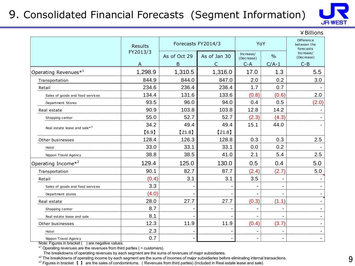### 9. Consolidated Financial Forecasts (Segment Information)



¥Billions

|                                  | <b>Results</b> | Forecasts FY2014/3 |              |                         | YoY                      | <b>Difference</b><br>between the<br>forecasts |
|----------------------------------|----------------|--------------------|--------------|-------------------------|--------------------------|-----------------------------------------------|
|                                  | FY2013/3       | As of Oct 29       | As of Jan 30 | Increase/<br>(Decrease) | $\frac{0}{0}$            | Increase/<br>(Decrease)                       |
|                                  |                | B                  |              | $C - A$                 | $C/A-1$                  | $C - B$                                       |
| Operating Revenues <sup>*1</sup> | 1,298.9        | 1,310.5            | 1,316.0      | 17.0                    | 1.3                      | 5.5                                           |
| Transportation                   | 844.9          | 844.0              | 847.0        | 2.0                     | 0.2                      | 3.0                                           |
| Retail                           | 234.6          | 236.4              | 236.4        | 1.7                     | 0.7                      |                                               |
| Sales of goods and food services | 134.4          | 131.6              | 133.6        | (0.8)                   | (0.6)                    | 2.0                                           |
| Department Stores                | 93.5           | 96.0               | 94.0         | 0.4                     | 0.5                      | (2.0)                                         |
| Real estate                      | 90.9           | 103.8              | 103.8        | 12.8                    | 14.2                     |                                               |
| Shopping center                  | 55.0           | 52.7               | 52.7         | (2.3)                   | (4.3)                    |                                               |
| Real estate lease and sale $*^3$ | 34.2           | 49.4               | 49.4         | 15.1                    | 44.0                     |                                               |
|                                  | [6.9]          | $[21.8]$           | [21.8]       |                         |                          |                                               |
| Other businesses                 | 128.4          | 126.3              | 128.8        | 0.3                     | 0.3                      | 2.5                                           |
| Hotel                            | 33.0           | 33.1               | 33.1         | 0.0                     | 0.2                      |                                               |
| Nippon Travel Agency             | 38.8           | 38.5               | 41.0         | 2.1                     | 5.4                      | 2.5                                           |
| Operating Income* <sup>2</sup>   | 129.4          | 125.0              | 130.0        | 0.5                     | 0.4                      | 5.0                                           |
| Transportation                   | 90.1           | 82.7               | 87.7         | (2.4)                   | (2.7)                    | 5.0                                           |
| Retail                           | (0.4)          | 3.1                | 3.1          | 3.5                     |                          |                                               |
| Sales of goods and food services | 3.3            |                    |              |                         | $\overline{\phantom{0}}$ |                                               |
| Department stores                | (4.0)          |                    |              |                         | $\blacksquare$           |                                               |
| Real estate                      | 28.0           | 27.7               | 27.7         | (0.3)                   | (1.1)                    |                                               |
| Shopping center                  | 8.7            |                    |              |                         | $\overline{\phantom{a}}$ |                                               |
| Real estate lease and sale       | 8.1            |                    |              |                         |                          |                                               |
| Other businesses                 | 12.3           | 11.9               | 11.9         | (0.4)                   | (3.7)                    |                                               |
| Hotel                            | 2.3            |                    |              |                         |                          |                                               |
| Nippon Travel Agency             | 0.7            |                    |              |                         |                          |                                               |

Note: Figures in bracket ( ) are negative values.

\* 1 Operating revenues are the revenues from third parties ( = customers).

The breakdowns of operating revenues by each segment are the sums of revenues of major subsidiaries.

\*<sup>2</sup> The breakdowns of operating income by each segment are the sums of incomes of major subsidiaries before eliminating internal transactions.

\* 3 Figures in bracket 【 】 are the sales of condominiums. (Revenues from third parties) (Included in Real estate lease and sale)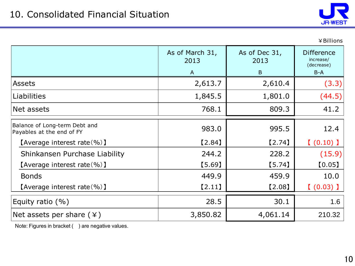

|                                                            |                         |                       | ¥ Billions                                   |
|------------------------------------------------------------|-------------------------|-----------------------|----------------------------------------------|
|                                                            | As of March 31,<br>2013 | As of Dec 31,<br>2013 | <b>Difference</b><br>increase/<br>(decrease) |
|                                                            | $\overline{A}$          | B                     | $B-A$                                        |
| <b>Assets</b>                                              | 2,613.7                 | 2,610.4               | (3.3)                                        |
| Liabilities                                                | 1,845.5                 | 1,801.0               | (44.5)                                       |
| Net assets                                                 | 768.1                   | 809.3                 | 41.2                                         |
| Balance of Long-term Debt and<br>Payables at the end of FY | 983.0                   | 995.5                 | 12.4                                         |
| [Average interest rate $(\% )$ ]                           | [2.84]                  | $[2.74]$              | $(0.10)$ ]                                   |
| Shinkansen Purchase Liability                              | 244.2                   | 228.2                 | (15.9)                                       |
| [Average interest rate $(\% )$ ]                           | [5.69]                  | [5.74]                | [0.05]                                       |
| <b>Bonds</b>                                               | 449.9                   | 459.9                 | 10.0                                         |
| [Average interest rate $(\% )$ ]                           | $[2.11]$                | $[2.08]$              | $(0.03)$ )                                   |
| Equity ratio $(\% )$                                       | 28.5                    | 30.1                  | 1.6                                          |
| Net assets per share $(*)$                                 | 3,850.82                | 4,061.14              | 210.32                                       |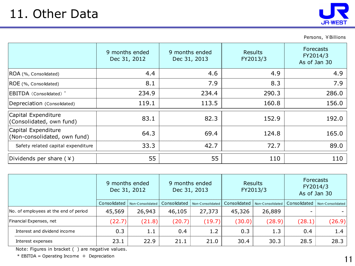

Persons, ¥Billions

|                                                     | 9 months ended<br>Dec 31, 2012 | 9 months ended<br>Dec 31, 2013 | Results<br>FY2013/3 | Forecasts<br>FY2014/3<br>As of Jan 30 |
|-----------------------------------------------------|--------------------------------|--------------------------------|---------------------|---------------------------------------|
| ROA (%, Consolidated)                               | 4.4                            | 4.6                            | 4.9                 | 4.9                                   |
| ROE (%, Consolidated)                               | 8.1                            | 7.9                            | 8.3                 | 7.9                                   |
| EBITDA (Consolidated) <sup>*</sup>                  | 234.9                          | 234.4                          | 290.3               | 286.0                                 |
| Depreciation (Consolidated)                         | 119.1                          | 113.5                          | 160.8               | 156.0                                 |
| Capital Expenditure<br>(Consolidated, own fund)     | 83.1                           | 82.3                           | 152.9               | 192.0                                 |
| Capital Expenditure<br>(Non-consolidated, own fund) | 64.3                           | 69.4                           | 124.8               | 165.0                                 |
| Safety related capital expenditure                  | 33.3                           | 42.7                           | 72.7                | 89.0                                  |
| Dividends per share $(*)$                           | 55                             | 55                             | 110                 | 110                                   |

|                                       | 9 months ended<br>Dec 31, 2012<br>Consolidated<br>Non-Consolidated |        | 9 months ended<br>Dec 31, 2013 |                  | <b>Results</b><br>FY2013/3 |                  | <b>Forecasts</b><br>FY2014/3<br>As of Jan 30 |                  |
|---------------------------------------|--------------------------------------------------------------------|--------|--------------------------------|------------------|----------------------------|------------------|----------------------------------------------|------------------|
|                                       |                                                                    |        | Consolidated                   | Non-Consolidated | Consolidated               | Non-Consolidated | Consolidated                                 | Non-Consolidated |
| No. of employees at the end of period | 45,569                                                             | 26,943 | 46,105                         | 27,373           | 45,326                     | 26,889           |                                              |                  |
| Financial Expenses, net               | (22.7)                                                             | (21.8) | (20.7)                         | (19.7)           | (30.0)                     | (28.9)           | (28.1)                                       | (26.9)           |
| Interest and dividend income          | 0.3                                                                | 1.1    | 0.4                            | 1.2              | 0.3                        | 1.3              | 0.4                                          | 1.4              |
| Interest expenses                     | 23.1                                                               | 22.9   | 21.1                           | 21.0             | 30.4                       | 30.3             | 28.5                                         | 28.3             |

Note: Figures in bracket ( ) are negative values.

 $*$  EBITDA = Operating Income + Depreciation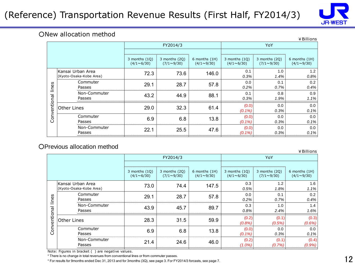### (Reference) Transportation Revenue Results (First Half, FY2014/3)



#### ○New allocation method

|              |                                                  |                                      |                                    |                                    |                                      |                                    | ¥ Billions                         |  |
|--------------|--------------------------------------------------|--------------------------------------|------------------------------------|------------------------------------|--------------------------------------|------------------------------------|------------------------------------|--|
|              |                                                  |                                      | FY2014/3                           |                                    | YoY                                  |                                    |                                    |  |
|              |                                                  | 3 months $(1Q)$<br>$(4/1 \sim 6/30)$ | 3 months (2Q)<br>$(7/1 \sim 9/30)$ | 6 months (1H)<br>$(4/1 \sim 9/30)$ | 3 months $(1Q)$<br>$(4/1 \sim 6/30)$ | 3 months (2Q)<br>$(7/1 \sim 9/30)$ | 6 months (1H)<br>$(4/1 \sim 9/30)$ |  |
|              | Kansai Urban Area<br>(Kyoto-Osaka-Kobe Area)     | 72.3                                 | 73.6                               | 146.0                              | 0.1<br>0.3%                          | 1.0<br>1.4%                        | 1.2<br>0.8%                        |  |
| lines        | Commuter<br>Passes                               | 29.1                                 | 28.7                               | 57.8                               | 0.0<br>0.2%                          | 0.1<br>0.7%                        | 0.2<br>0.4%                        |  |
| Conventional | Non-Commuter<br>Passes                           | 43.2                                 | 44.9                               | 88.1                               | 0.1<br>0.3%                          | 0.8<br>1.9%                        | 0.9<br>1.1%                        |  |
|              | Other Lines                                      | 29.0                                 | 32.3                               | 61.4                               | (0.0)<br>(0.1%                       | 0.0<br>0.3%                        | 0.0<br>0.1%                        |  |
|              | Commuter<br>Passes                               | 6.9                                  | 6.8                                | 13.8                               | (0.0)<br>$(0.1\%)$                   | 0.0<br>0.3%                        | 0.0<br>0.1%                        |  |
|              | Non-Commuter<br>Passes                           | 22.1                                 | 25.5                               | 47.6                               | (0.0)<br>$(0.1\%)$                   | 0.0<br>0.3%                        | 0.0<br>0.1%                        |  |
|              | Previous allocation method                       |                                      |                                    |                                    |                                      |                                    | ¥ Billions                         |  |
|              |                                                  |                                      | FY2014/3                           |                                    | YoY                                  |                                    |                                    |  |
|              |                                                  | 3 months $(1Q)$<br>$(4/1 \sim 6/30)$ | 3 months (2Q)<br>$(7/1 \sim 9/30)$ | 6 months (1H)<br>$(4/1 \sim 9/30)$ | 3 months $(1Q)$<br>$(4/1 \sim 6/30)$ | 3 months (2Q)<br>$(7/1 \sim 9/30)$ | 6 months (1H)<br>$(4/1 \sim 9/30)$ |  |
|              | Kansai Urban Area<br>$U($ usta Osolin Kaba Aroo) | 73.0                                 | 74.4                               | 147.5                              | 0.3<br>$C$ $FQ$                      | 1.2<br>4.001                       | 1.6<br>$\overline{A}$              |  |

#### ○Previous allocation method

|                         |                                              |                                      |                                      |                                    |                                      |                                      | ¥ Billions                         |  |
|-------------------------|----------------------------------------------|--------------------------------------|--------------------------------------|------------------------------------|--------------------------------------|--------------------------------------|------------------------------------|--|
|                         |                                              |                                      | FY2014/3                             |                                    | <b>YoY</b>                           |                                      |                                    |  |
|                         |                                              |                                      |                                      |                                    |                                      |                                      |                                    |  |
|                         |                                              | 3 months $(1Q)$<br>$(4/1 \sim 6/30)$ | 3 months $(2Q)$<br>$(7/1 \sim 9/30)$ | 6 months (1H)<br>$(4/1 \sim 9/30)$ | 3 months $(1Q)$<br>$(4/1 \sim 6/30)$ | 3 months $(2Q)$<br>$(7/1 \sim 9/30)$ | 6 months (1H)<br>$(4/1 \sim 9/30)$ |  |
|                         | Kansai Urban Area<br>(Kyoto-Osaka-Kobe Area) | 73.0                                 | 74.4                                 | 147.5                              | 0.3<br>0.5%                          | 1.2<br>1.8%                          | 1.6<br>1.1%                        |  |
| w<br>ë                  | Commuter<br>Passes                           | 29.1                                 | 28.7                                 | 57.8                               | 0.0<br>0.2%                          | 0.1<br>0.7%                          | 0.2<br>0.4%                        |  |
| $\equiv$<br>Conventiona | Non-Commuter<br>Passes                       | 43.9                                 | 45.7                                 | 89.7                               | 0.3<br>0.8%                          | 1.0<br>2.4%                          | 1.4<br>1.6%                        |  |
|                         | <b>Other Lines</b>                           | 28.3                                 | 31.5                                 | 59.9                               | (0.2)<br>(0.8%)                      | (0.1)<br>(0.5%)                      | (0.3)<br>(0.6%)                    |  |
|                         | Commuter<br>6.9<br>Passes                    |                                      | 6.8                                  | 13.8                               | (0.0)<br>$(0.1\%)$                   | 0.0<br>0.3%                          | 0.0<br>0.1%                        |  |
|                         | Non-Commuter<br>Passes                       | 21.4                                 | 24.6                                 | 46.0                               | (0.2)<br>$(1.0\%)$                   | (0.1)<br>(0.7%)                      | (0.4)<br>(0.9%)                    |  |

Note: Figures in bracket ( ) are negative values.

\* There is no change in total revenues from conventional lines or from commuter passes.

\* For results for 9months ended Dec 31, 2013 and for 3months (3Q), see page 3. For FY2014/3 forcasts, see page 7.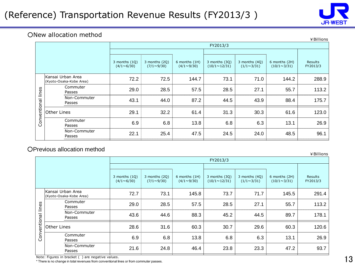

#### ○New allocation method

|                       |                                              | FY2013/3                             |                                    |                                    |                                      |                                      |                                     |                     |
|-----------------------|----------------------------------------------|--------------------------------------|------------------------------------|------------------------------------|--------------------------------------|--------------------------------------|-------------------------------------|---------------------|
|                       |                                              |                                      |                                    |                                    |                                      |                                      |                                     |                     |
|                       |                                              | 3 months $(1Q)$<br>$(4/1 \sim 6/30)$ | 3 months (2Q)<br>$(7/1 \sim 9/30)$ | 6 months (1H)<br>$(4/1 \sim 9/30)$ | 3 months (3Q)<br>$(10/1 \sim 12/31)$ | 3 months $(4Q)$<br>$(1/1 \sim 3/31)$ | 6 months (2H)<br>$(10/1 \sim 3/31)$ | Results<br>FY2013/3 |
|                       | Kansai Urban Area<br>(Kyoto-Osaka-Kobe Area) | 72.2                                 | 72.5                               | 144.7                              | 73.1                                 | 71.0                                 | 144.2                               | 288.9               |
| lines<br>Conventional | Commuter<br>Passes                           | 29.0                                 | 28.5                               | 57.5                               | 28.5                                 | 27.1                                 | 55.7                                | 113.2               |
|                       | Non-Commuter<br>Passes                       | 43.1                                 | 44.0                               | 87.2                               | 44.5                                 | 43.9                                 | 88.4                                | 175.7               |
|                       | Other Lines                                  | 29.1                                 | 32.2                               | 61.4                               | 31.3                                 | 30.3                                 | 61.6                                | 123.0               |
|                       | Commuter<br>Passes                           | 6.9                                  | 6.8                                | 13.8                               | 6.8                                  | 6.3                                  | 13.1                                | 26.9                |
|                       | Non-Commuter<br>Passes                       | 22.1                                 | 25.4                               | 47.5                               | 24.5                                 | 24.0                                 | 48.5                                | 96.1                |

#### ○Previous allocation method

|                    | Communic<br>Passes                           | 29.0                                 | 28.5                               | 57.5                               | 28.5                                 | 27.1                               | 55.7                                | 113.2               |
|--------------------|----------------------------------------------|--------------------------------------|------------------------------------|------------------------------------|--------------------------------------|------------------------------------|-------------------------------------|---------------------|
| Conventional lines | Non-Commuter<br>Passes                       | 43.1                                 | 44.0                               | 87.2                               | 44.5                                 | 43.9                               | 88.4                                | 175.7               |
|                    | <b>Other Lines</b>                           | 29.1                                 | 32.2                               | 61.4                               | 31.3                                 | 30.3                               | 61.6                                | 123.0               |
|                    | Commuter<br>Passes                           | 6.9                                  | 6.8                                | 13.8                               | 6.8                                  | 6.3                                | 13.1                                | 26.9                |
|                    | Non-Commuter<br>Passes                       | 22.1                                 | 25.4                               | 47.5                               | 24.5                                 | 24.0                               | 48.5                                | 96.1                |
|                    | Previous allocation method                   |                                      |                                    |                                    |                                      |                                    |                                     | ¥Billions           |
|                    |                                              |                                      |                                    |                                    | FY2013/3                             |                                    |                                     |                     |
|                    |                                              |                                      |                                    |                                    |                                      |                                    |                                     |                     |
|                    |                                              | 3 months $(1Q)$<br>$(4/1 \sim 6/30)$ | 3 months (2Q)<br>$(7/1 \sim 9/30)$ | 6 months (1H)<br>$(4/1 \sim 9/30)$ | 3 months (3Q)<br>$(10/1 \sim 12/31)$ | 3 months (4Q)<br>$(1/1 \sim 3/31)$ | 6 months (2H)<br>$(10/1 \sim 3/31)$ | Results<br>FY2013/3 |
|                    | Kansai Urban Area<br>(Kyoto-Osaka-Kobe Area) | 72.7                                 | 73.1                               | 145.8                              | 73.7                                 | 71.7                               | 145.5                               | 291.4               |
|                    | Commuter<br>Passes                           | 29.0                                 | 28.5                               | 57.5                               | 28.5                                 | 27.1                               | 55.7                                | 113.2               |
| Conventional lines | Non-Commuter<br>Passes                       | 43.6                                 | 44.6                               | 88.3                               | 45.2                                 | 44.5                               | 89.7                                | 178.1               |
|                    | <b>Other Lines</b>                           | 28.6                                 | 31.6                               | 60.3                               | 30.7                                 | 29.6                               | 60.3                                | 120.6               |
|                    | Commuter<br>Passes                           | 6.9                                  | 6.8                                | 13.8                               | 6.8                                  | 6.3                                | 13.1                                | 26.9                |
|                    |                                              |                                      |                                    |                                    |                                      |                                    |                                     |                     |

Note: Figures in bracket ( ) are negative values.

\* There is no change in total revenues from conventional lines or from commuter passes.

¥Billions